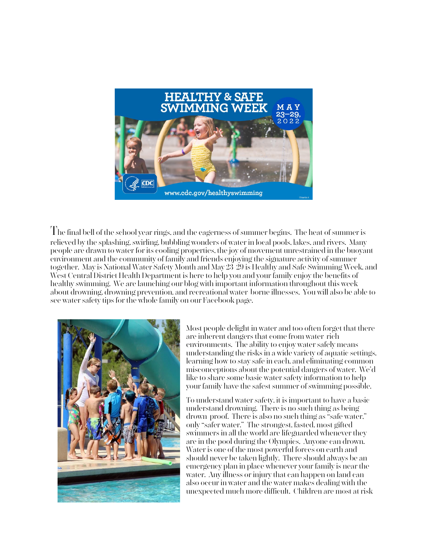

The final bell of the school year rings, and the eagerness of summer begins. The heat of summer is relieved by the splashing, swirling, bubbling wonders of water in local pools, lakes, and rivers. Many people are drawn to water for its cooling properties, the joy of movement unrestrained in the buoyant environment and the community of family and friends enjoying the signature activity of summer together. May is National Water Safety Month and May 23-29 is Healthy and Safe Swimming Week, and West Central District Health Department is here to help you and your family enjoy the benefits of healthy swimming. We are launching our blog with important information throughout this week about drowning, drowning prevention, and recreational water-borne illnesses. You will also be able to see water safety tips for the whole family on our Facebook page.



Most people delight in water and too often forget that there are inherent dangers that come from water-rich environments. The ability to enjoy water safely means understanding the risks in a wide variety of aquatic settings, learning how to stay safe in each, and eliminating common misconceptions about the potential dangers of water. We'd like to share some basic water safety information to help your family have the safest summer of swimming possible.

To understand water safety, it is important to have a basic understand drowning. There is no such thing as being drown-proof. There is also no such thing as "safe water," only "safer water." The strongest, fasted, most gifted swimmers in all the world are lifeguarded whenever they are in the pool during the Olympics. Anyone can drown. Water is one of the most powerful forces on earth and should never be taken lightly. There should always be an emergency plan in place whenever your family is near the water. Any illness or injury that can happen on land can also occur in water and the water makes dealing with the unexpected much more difficult. Children are most at risk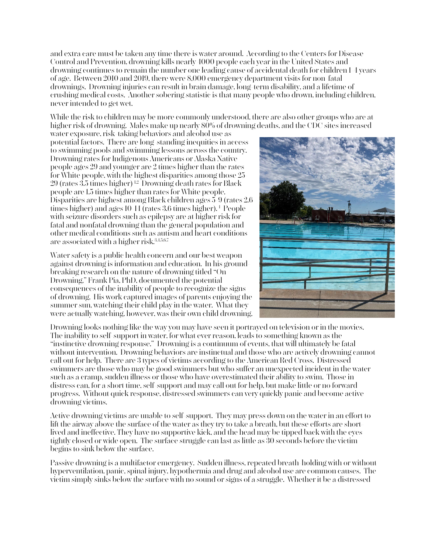and extra care must be taken any time there is water around. According to the Centers for Disease Control and Prevention, drowning kills nearly 4000 people each year in the United States and drowning continues to remain the number one leading cause of accidental death for children 1-4 years of age. Between 2010 and 2019, there were 8,000 emergency department visits for non-fatal drownings. Drowning injuries can result in brain damage, long-term disability, and a lifetime of crushing medical costs. Another sobering statistic is that many people who drown, including children, never intended to get wet.

While the risk to children may be more commonly understood, there are also other groups who are at higher risk of drowning. Males make up nearly 80% of drowning deaths, and the CDC sites increased

water exposure, risk-taking behaviors and alcohol use as potential factors. There are long-standing inequities in access to swimming pools and swimming lessons across the country. Drowning rates for Indigenous Americans or Alaska Native people ages 29 and younger are 2 times higher than the rates for White people, with the highest disparities among those 25- 29 (rates  $3.5$  times higher)<sup>12</sup> Drowning death rates for Black people are 1.5 times higher than rates for White people. Disparities are highest among Black children ages 5-9 (rates 2.6 times higher) and ages 10-14 (rates 3.6 times higher). 1 People with seizure disorders such as epilepsy are at higher risk for fatal and nonfatal drowning than the general population and other medical conditions such as autism and heart conditions are associated with a higher risk.<sup>3,4,5,6,7</sup>

Water safety is a public health concern and our best weapon against drowning is information and education. In his groundbreaking research on the nature of drowning titled "On Drowning," Frank Pia, PhD, documented the potential consequences of the inability of people to recognize the signs of drowning. His work captured images of parents enjoying the summer sun, watching their child play in the water. What they were actually watching, however, was their own child drowning.



Drowning looks nothing like the way you may have seen it portrayed on television or in the movies. The inability to self-support in water, for what ever reason, leads to something known as the "instinctive drowning response." Drowning is a continuum of events, that will ultimately be fatal without intervention. Drowning behaviors are instinctual and those who are actively drowning cannot call out for help. There are 3 types of victims according to the American Red Cross. Distressed swimmers are those who may be good swimmers but who suffer an unexpected incident in the water such as a cramp, sudden illness or those who have overestimated their ability to swim. Those in distress can, for a short time, self-support and may call out for help, but make little or no forward progress. Without quick response, distressed swimmers can very quickly panic and become active drowning victims.

Active drowning victims are unable to self-support. They may press down on the water in an effort to lift the airway above the surface of the water as they try to take a breath, but these efforts are shortlived and ineffective. They have no supportive kick, and the head may be tipped back with the eyes tightly closed or wide open. The surface struggle can last as little as 30 seconds before the victim begins to sink below the surface.

Passive drowning is a multifactor emergency. Sudden illness, repeated breath-holding with or without hyperventilation, panic, spinal injury, hypothermia and drug and alcohol use are common causes. The victim simply sinks below the surface with no sound or signs of a struggle. Whether it be a distressed